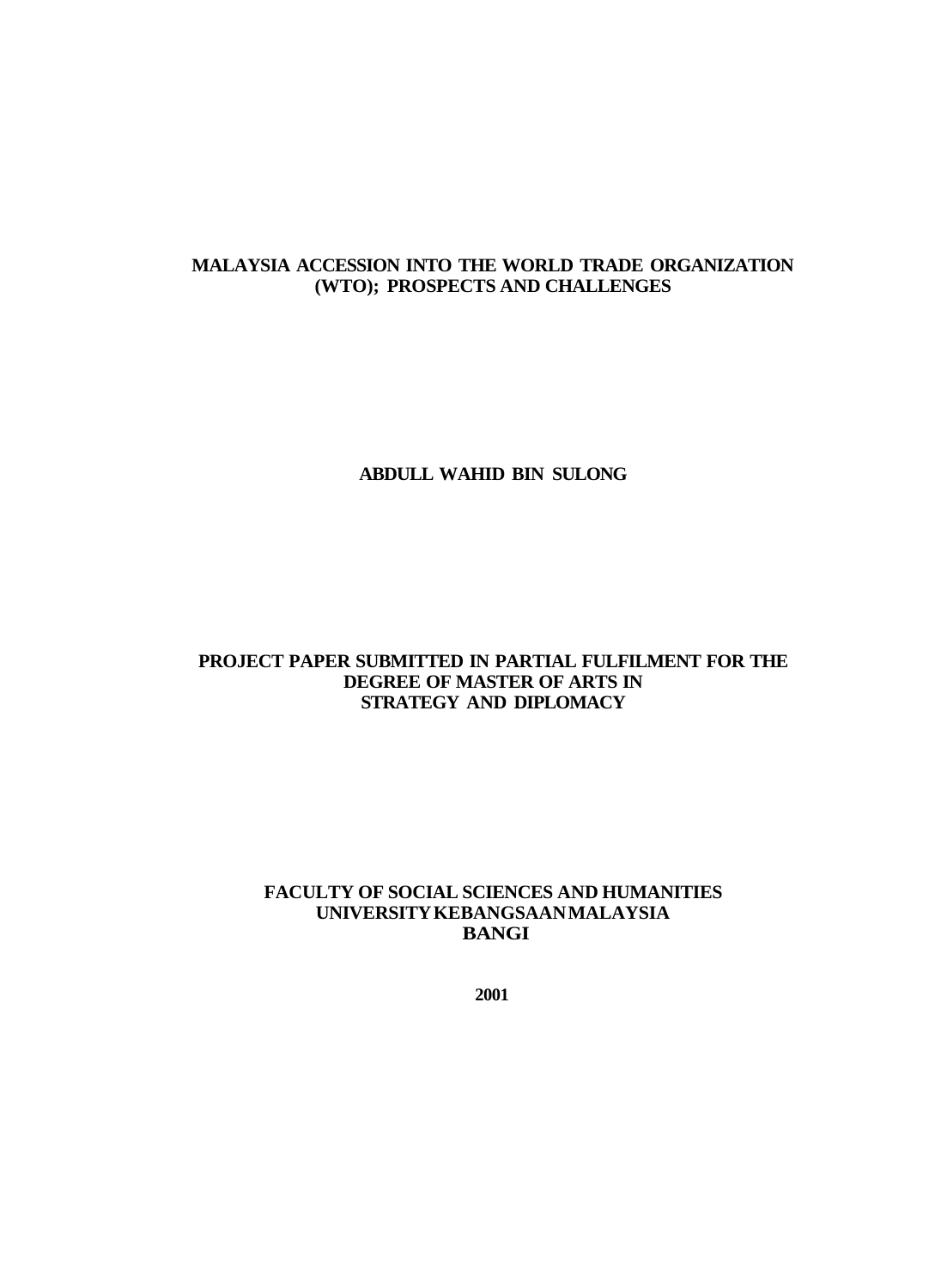# **MALAYSIA ACCESSION INTO THE WORLD TRADE ORGANIZATION (WTO); PROSPECTS AND CHALLENGES**

## **ABDULL WAHID BIN SULONG**

## **PROJECT PAPER SUBMITTED IN PARTIAL FULFILMENT FOR THE DEGREE OF MASTER OF ARTS IN STRATEGY AND DIPLOMACY**

### **FACULTY OF SOCIAL SCIENCES AND HUMANITIES UNIVERSITY KEBANGSAAN MALAYSIA BANGI**

**2001**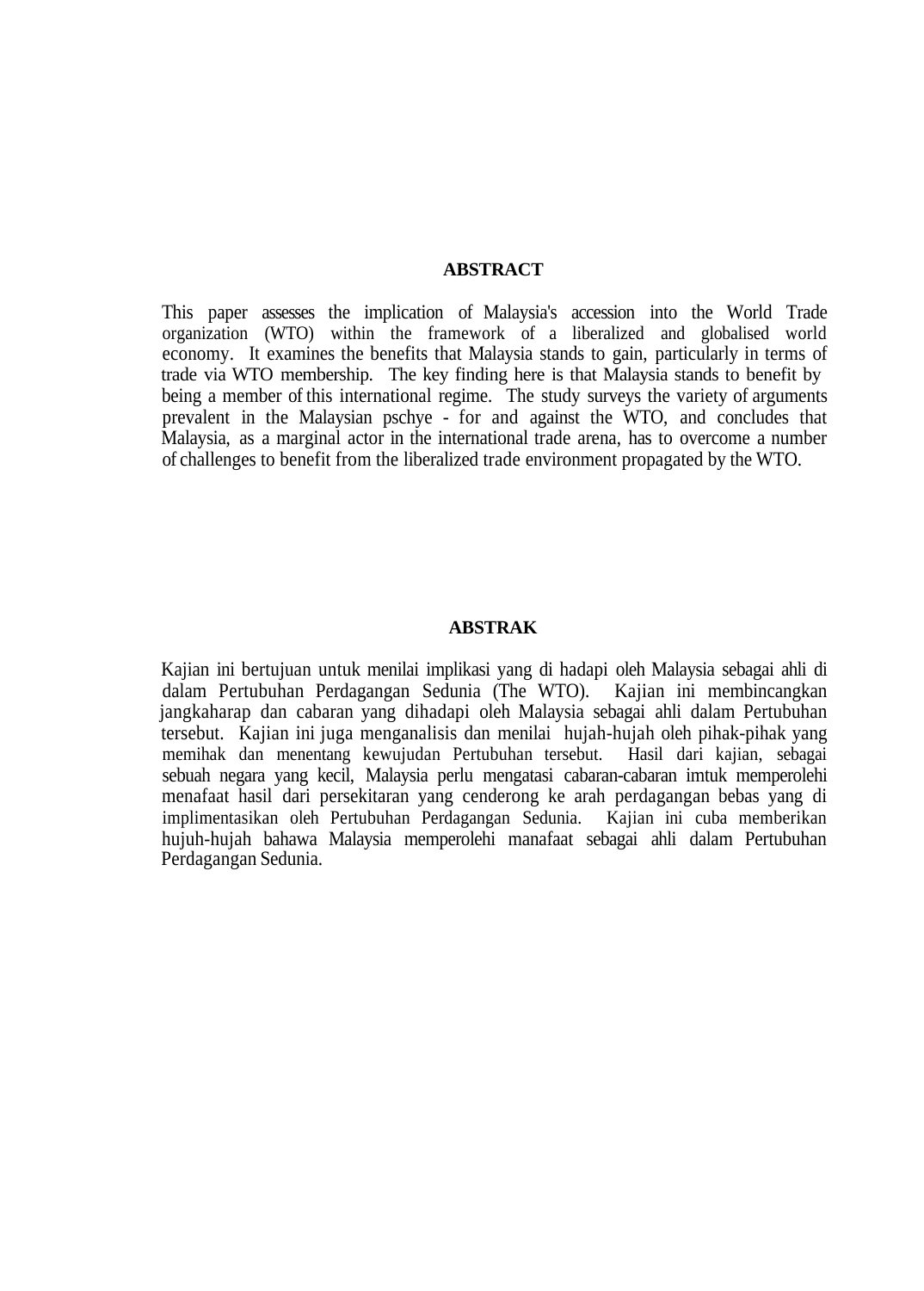#### **ABSTRACT**

This paper assesses the implication of Malaysia's accession into the World Trade organization (WTO) within the framework of a liberalized and globalised world economy. It examines the benefits that Malaysia stands to gain, particularly in terms of trade via WTO membership. The key finding here is that Malaysia stands to benefit by being a member of this international regime. The study surveys the variety of arguments prevalent in the Malaysian pschye - for and against the WTO, and concludes that Malaysia, as a marginal actor in the international trade arena, has to overcome a number of challenges to benefit from the liberalized trade environment propagated by the WTO.

#### **ABSTRAK**

Kajian ini bertujuan untuk menilai implikasi yang di hadapi oleh Malaysia sebagai ahli di dalam Pertubuhan Perdagangan Sedunia (The WTO). Kajian ini membincangkan jangkaharap dan cabaran yang dihadapi oleh Malaysia sebagai ahli dalam Pertubuhan tersebut. Kajian ini juga menganalisis dan menilai hujah-hujah oleh pihak-pihak yang memihak dan menentang kewujudan Pertubuhan tersebut. Hasil dari kajian, sebagai sebuah negara yang kecil, Malaysia perlu mengatasi cabaran-cabaran imtuk memperolehi menafaat hasil dari persekitaran yang cenderong ke arah perdagangan bebas yang di implimentasikan oleh Pertubuhan Perdagangan Sedunia. Kajian ini cuba memberikan hujuh-hujah bahawa Malaysia memperolehi manafaat sebagai ahli dalam Pertubuhan Perdagangan Sedunia.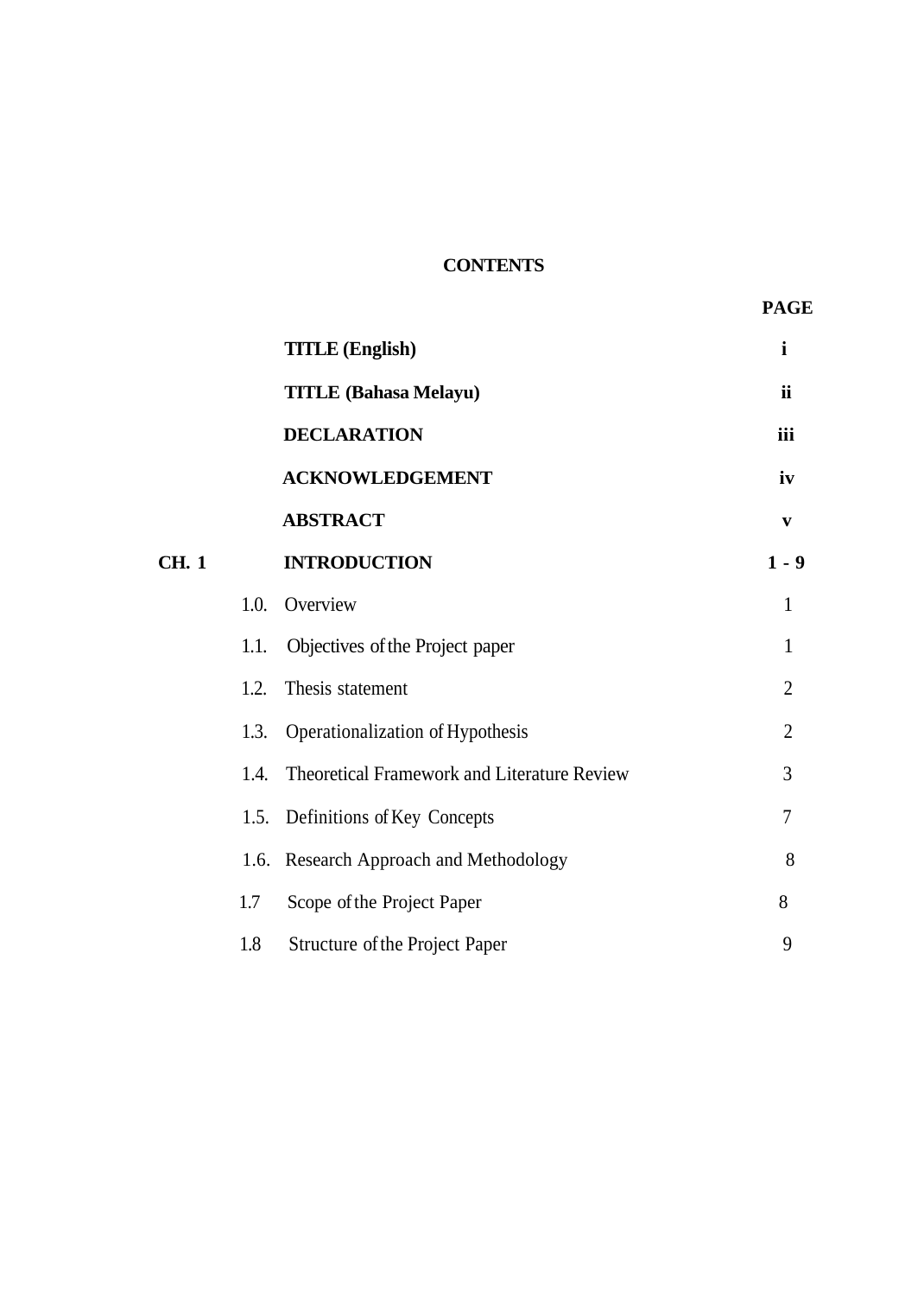# **CONTENTS**

|              |      | <b>TITLE</b> (English)                      | $\mathbf{i}$   |
|--------------|------|---------------------------------------------|----------------|
|              |      | <b>TITLE (Bahasa Melayu)</b>                | <b>ii</b>      |
|              |      | <b>DECLARATION</b>                          | iii            |
|              |      | <b>ACKNOWLEDGEMENT</b>                      | iv             |
|              |      | <b>ABSTRACT</b>                             | $\mathbf{V}$   |
| <b>CH.</b> 1 |      | <b>INTRODUCTION</b>                         | $1 - 9$        |
|              | 1.0. | Overview                                    | $\mathbf{1}$   |
|              | 1.1. | Objectives of the Project paper             | $\mathbf{1}$   |
|              | 1.2. | Thesis statement                            | $\overline{2}$ |
|              | 1.3. | Operationalization of Hypothesis            | $\overline{2}$ |
|              | 1.4. | Theoretical Framework and Literature Review | 3              |
|              | 1.5. | Definitions of Key Concepts                 | $\overline{7}$ |
|              |      | 1.6. Research Approach and Methodology      | 8              |
|              | 1.7  | Scope of the Project Paper                  | 8              |
|              | 1.8  | Structure of the Project Paper              | 9              |